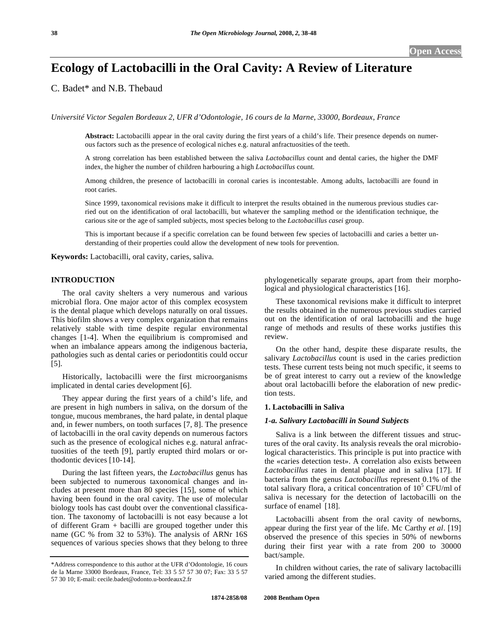# **Ecology of Lactobacilli in the Oral Cavity: A Review of Literature**

C. Badet\* and N.B. Thebaud

*Université Victor Segalen Bordeaux 2, UFR d'Odontologie, 16 cours de la Marne, 33000, Bordeaux, France* 

**Abstract:** Lactobacilli appear in the oral cavity during the first years of a child's life. Their presence depends on numerous factors such as the presence of ecological niches e.g. natural anfractuosities of the teeth.

A strong correlation has been established between the saliva *Lactobacillus* count and dental caries, the higher the DMF index, the higher the number of children harbouring a high *Lactobacillus* count.

Among children, the presence of lactobacilli in coronal caries is incontestable. Among adults, lactobacilli are found in root caries.

Since 1999, taxonomical revisions make it difficult to interpret the results obtained in the numerous previous studies carried out on the identification of oral lactobacilli, but whatever the sampling method or the identification technique, the carious site or the age of sampled subjects, most species belong to the *Lactobacillus casei* group.

This is important because if a specific correlation can be found between few species of lactobacilli and caries a better understanding of their properties could allow the development of new tools for prevention.

**Keywords:** Lactobacilli, oral cavity, caries, saliva.

# **INTRODUCTION**

 The oral cavity shelters a very numerous and various microbial flora. One major actor of this complex ecosystem is the dental plaque which develops naturally on oral tissues. This biofilm shows a very complex organization that remains relatively stable with time despite regular environmental changes [1-4]. When the equilibrium is compromised and when an imbalance appears among the indigenous bacteria, pathologies such as dental caries or periodontitis could occur [5].

 Historically, lactobacilli were the first microorganisms implicated in dental caries development [6].

 They appear during the first years of a child's life, and are present in high numbers in saliva, on the dorsum of the tongue, mucous membranes, the hard palate, in dental plaque and, in fewer numbers, on tooth surfaces [7, 8]. The presence of lactobacilli in the oral cavity depends on numerous factors such as the presence of ecological niches e.g. natural anfractuosities of the teeth [9], partly erupted third molars or orthodontic devices [10-14].

 During the last fifteen years, the *Lactobacillus* genus has been subjected to numerous taxonomical changes and includes at present more than 80 species [15], some of which having been found in the oral cavity. The use of molecular biology tools has cast doubt over the conventional classification. The taxonomy of lactobacilli is not easy because a lot of different Gram + bacilli are grouped together under this name (GC % from 32 to 53%). The analysis of ARNr 16S sequences of various species shows that they belong to three

phylogenetically separate groups, apart from their morphological and physiological characteristics [16].

 These taxonomical revisions make it difficult to interpret the results obtained in the numerous previous studies carried out on the identification of oral lactobacilli and the huge range of methods and results of these works justifies this review.

 On the other hand, despite these disparate results, the salivary *Lactobacillus* count is used in the caries prediction tests. These current tests being not much specific, it seems to be of great interest to carry out a review of the knowledge about oral lactobacilli before the elaboration of new prediction tests.

#### **1. Lactobacilli in Saliva**

#### *1-a. Salivary Lactobacilli in Sound Subjects*

 Saliva is a link between the different tissues and structures of the oral cavity. Its analysis reveals the oral microbiological characteristics. This principle is put into practice with the «caries detection test». A correlation also exists between *Lactobacillus* rates in dental plaque and in saliva [17]. If bacteria from the genus *Lactobacillus* represent 0.1% of the total salivary flora, a critical concentration of  $10^5$  CFU/ml of saliva is necessary for the detection of lactobacilli on the surface of enamel [18].

 Lactobacilli absent from the oral cavity of newborns, appear during the first year of the life. Mc Carthy *et al*. [19] observed the presence of this species in 50% of newborns during their first year with a rate from 200 to 30000 bact/sample.

 In children without caries, the rate of salivary lactobacilli varied among the different studies.

<sup>\*</sup>Address correspondence to this author at the UFR d'Odontologie, 16 cours de la Marne 33000 Bordeaux, France, Tel: 33 5 57 57 30 07; Fax: 33 5 57 57 30 10; E-mail: cecile.badet@odonto.u-bordeaux2.fr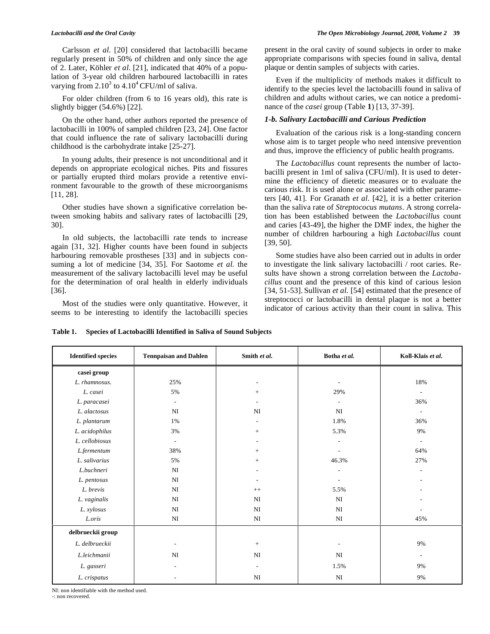Carlsson *et al*. [20] considered that lactobacilli became regularly present in 50% of children and only since the age of 2. Later, Köhler *et al*. [21], indicated that 40% of a population of 3-year old children harboured lactobacilli in rates varying from  $2.10^3$  to  $4.10^4$  CFU/ml of saliva.

 For older children (from 6 to 16 years old), this rate is slightly bigger (54.6%) [22].

 On the other hand, other authors reported the presence of lactobacilli in 100% of sampled children [23, 24]. One factor that could influence the rate of salivary lactobacilli during childhood is the carbohydrate intake [25-27].

 In young adults, their presence is not unconditional and it depends on appropriate ecological niches. Pits and fissures or partially erupted third molars provide a retentive environment favourable to the growth of these microorganisms [11, 28].

 Other studies have shown a significative correlation between smoking habits and salivary rates of lactobacilli [29, 30].

 In old subjects, the lactobacilli rate tends to increase again [31, 32]. Higher counts have been found in subjects harbouring removable prostheses [33] and in subjects consuming a lot of medicine [34, 35]. For Saotome *et al.* the measurement of the salivary lactobacilli level may be useful for the determination of oral health in elderly individuals [36].

 Most of the studies were only quantitative. However, it seems to be interesting to identify the lactobacilli species present in the oral cavity of sound subjects in order to make appropriate comparisons with species found in saliva, dental plaque or dentin samples of subjects with caries.

 Even if the multiplicity of methods makes it difficult to identify to the species level the lactobacilli found in saliva of children and adults without caries, we can notice a predominance of the *casei* group (Table **1**) [13, 37-39].

#### *1-b. Salivary Lactobacilli and Carious Prediction*

 Evaluation of the carious risk is a long-standing concern whose aim is to target people who need intensive prevention and thus, improve the efficiency of public health programs.

 The *Lactobacillus* count represents the number of lactobacilli present in 1ml of saliva (CFU/ml). It is used to determine the efficiency of dietetic measures or to evaluate the carious risk. It is used alone or associated with other parameters [40, 41]. For Granath *et al*. [42], it is a better criterion than the saliva rate of *Streptococus mutans*. A strong correlation has been established between the *Lactobacillus* count and caries [43-49], the higher the DMF index, the higher the number of children harbouring a high *Lactobacillus* count [39, 50].

 Some studies have also been carried out in adults in order to investigate the link salivary lactobacilli / root caries. Results have shown a strong correlation between the *Lactobacillus* count and the presence of this kind of carious lesion [34, 51-53]. Sullivan *et al.* [54] estimated that the presence of streptococci or lactobacilli in dental plaque is not a better indicator of carious activity than their count in saliva. This

| <b>Identified species</b> | <b>Tennpaisan and Dahlen</b> | Smith et al.             | Botha et al. | Koll-Klais et al.        |  |
|---------------------------|------------------------------|--------------------------|--------------|--------------------------|--|
| casei group               |                              |                          |              |                          |  |
| L. rhamnosus.             | 25%                          |                          |              | 18%                      |  |
| L. casei                  | 5%                           | $+$                      | 29%          | $\overline{a}$           |  |
| L. paracasei              | $\overline{\phantom{a}}$     |                          |              | 36%                      |  |
| L. alactosus              | NI                           | $\rm NI$                 | NI           | $\overline{\phantom{a}}$ |  |
| L. plantarum              | 1%                           |                          | 1.8%         | 36%                      |  |
| L. acidophilus            | 3%                           | $+$                      | 5.3%         | 9%                       |  |
| L. cellobiosus            | $\overline{a}$               |                          |              | $\overline{\phantom{a}}$ |  |
| L.fermentum               | 38%                          | $+$                      |              | 64%                      |  |
| L. salivarius             | 5%                           | $+$                      | 46.3%        | 27%                      |  |
| L.buchneri                | NI                           |                          |              |                          |  |
| L. pentosus               | NI                           |                          |              |                          |  |
| L. brevis                 | NI                           | $++$                     | 5.5%         |                          |  |
| L. vaginalis              | NI                           | NI                       | NI           |                          |  |
| L. xylosus                | NI                           | NI                       | NI           |                          |  |
| L.oris                    | NI                           | NI                       | NI           | 45%                      |  |
| delbrueckii group         |                              |                          |              |                          |  |
| L. delbrueckii            |                              | $\pm$                    |              | 9%                       |  |
| L.leichmanii              | NI                           | NI                       | NI           | $\overline{\phantom{a}}$ |  |
| L. gasseri                | ٠                            | $\overline{\phantom{a}}$ | 1.5%         | 9%                       |  |
| L. crispatus              |                              | NI                       | NI           | 9%                       |  |

**Table 1. Species of Lactobacilli Identified in Saliva of Sound Subjects** 

NI: non identifiable with the method used.

-: non recovered.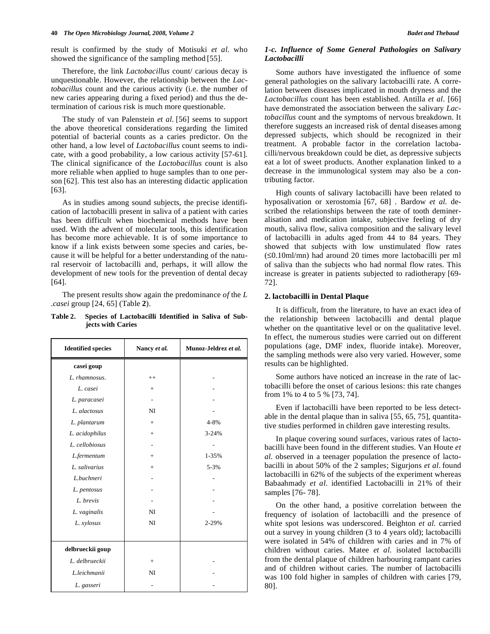result is confirmed by the study of Motisuki *et al*. who showed the significance of the sampling method [55].

 Therefore, the link *Lactobacillus* count/ carious decay is unquestionable. However, the relationship between the *Lactobacillus* count and the carious activity (i.e. the number of new caries appearing during a fixed period) and thus the determination of carious risk is much more questionable.

 The study of van Palenstein *et al*. [56] seems to support the above theoretical considerations regarding the limited potential of bacterial counts as a caries predictor. On the other hand, a low level of *Lactobacillus* count seems to indicate, with a good probability, a low carious activity [57-61]. The clinical significance of the *Lactobacillus* count is also more reliable when applied to huge samples than to one person [62]. This test also has an interesting didactic application [63].

 As in studies among sound subjects, the precise identification of lactobacilli present in saliva of a patient with caries has been difficult when biochemical methods have been used. With the advent of molecular tools, this identification has become more achievable. It is of some importance to know if a link exists between some species and caries, because it will be helpful for a better understanding of the natural reservoir of lactobacilli and, perhaps, it will allow the development of new tools for the prevention of dental decay [64].

 The present results show again the predominance *of* the *L .casei* group [24, 65] (Table **2**).

| <b>Identified species</b> | Nancy et al. | Munoz-Jeldrez et al. |  |  |
|---------------------------|--------------|----------------------|--|--|
| casei goup                |              |                      |  |  |
| L. rhamnosus.             | $++$         |                      |  |  |
| L. casei                  | $+$          |                      |  |  |
| L. paracasei              |              |                      |  |  |
| L. alactosus              | NI           |                      |  |  |
| L. plantarum              | $+$          | $4 - 8%$             |  |  |
| L. acidophilus            | $+$          | $3 - 24%$            |  |  |
| L. cellobiosus            |              |                      |  |  |
| L.fermentum               | $^+$         | 1-35%                |  |  |

+ - - - NI NI

+ NI -

5-3% - - - - 2-29%

> - - -

*L. salivarius L.buchneri L. pentosus L. brevis L. vaginalis L. xylosus*

**delbrueckii goup**  *L. delbrueckii L.leichmanii L. gasseri* 

**Table 2. Species of Lactobacilli Identified in Saliva of Subjects with Caries** 

# *1-c. Influence of Some General Pathologies on Salivary Lactobacilli*

 Some authors have investigated the influence of some general pathologies on the salivary lactobacilli rate. A correlation between diseases implicated in mouth dryness and the *Lactobacillus* count has been established. Antilla *et al*. [66] have demonstrated the association between the salivary *Lactobacillus* count and the symptoms of nervous breakdown. It therefore suggests an increased risk of dental diseases among depressed subjects, which should be recognized in their treatment. A probable factor in the correlation lactobacilli/nervous breakdown could be diet, as depressive subjects eat a lot of sweet products. Another explanation linked to a decrease in the immunological system may also be a contributing factor.

 High counts of salivary lactobacilli have been related to hyposalivation or xerostomia [67, 68] . Bardow *et al*. described the relationships between the rate of tooth demineralisation and medication intake, subjective feeling of dry mouth, saliva flow, saliva composition and the salivary level of lactobacilli in adults aged from 44 to 84 years. They showed that subjects with low unstimulated flow rates  $(\leq 0.10 \text{ml/min})$  had around 20 times more lactobacilli per ml of saliva than the subjects who had normal flow rates. This increase is greater in patients subjected to radiotherapy [69- 72].

# **2. lactobacilli in Dental Plaque**

 It is difficult, from the literature, to have an exact idea of the relationship between lactobacilli and dental plaque whether on the quantitative level or on the qualitative level. In effect, the numerous studies were carried out on different populations (age, DMF index, fluoride intake). Moreover, the sampling methods were also very varied. However, some results can be highlighted.

 Some authors have noticed an increase in the rate of lactobacilli before the onset of carious lesions: this rate changes from 1% to 4 to 5 % [73, 74].

 Even if lactobacilli have been reported to be less detectable in the dental plaque than in saliva [55, 65, 75], quantitative studies performed in children gave interesting results.

 In plaque covering sound surfaces, various rates of lactobacilli have been found in the different studies. Van Houte *et al*. observed in a teenager population the presence of lactobacilli in about 50% of the 2 samples; Sigurjons *et al*. found lactobacilli in 62% of the subjects of the experiment whereas Babaahmady *et al*. identified Lactobacilli in 21% of their samples [76- 78].

 On the other hand, a positive correlation between the frequency of isolation of lactobacilli and the presence of white spot lesions was underscored. Beighton *et al*. carried out a survey in young children (3 to 4 years old); lactobacilli were isolated in 54% of children with caries and in 7% of children without caries. Matee *et al*. isolated lactobacilli from the dental plaque of children harbouring rampant caries and of children without caries. The number of lactobacilli was 100 fold higher in samples of children with caries [79, 80].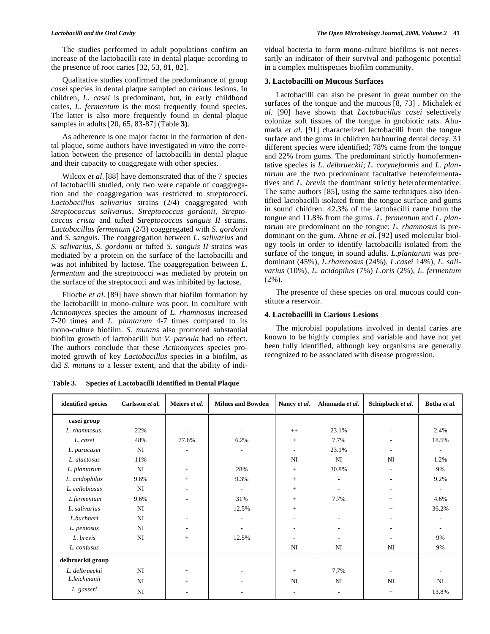The studies performed in adult populations confirm an increase of the lactobacilli rate in dental plaque according to the presence of root caries [32, 53, 81, 82].

 Qualitative studies confirmed the predominance of group *casei* species in dental plaque sampled on carious lesions. In children, *L. casei* is predominant, but, in early childhood caries, *L. fermentum* is the most frequently found species. The latter is also more frequently found in dental plaque samples in adults [20, 65, 83-87] (Table **3**).

 As adherence is one major factor in the formation of dental plaque, some authors have investigated *in vitro* the correlation between the presence of lactobacilli in dental plaque and their capacity to coaggregate with other species.

 Wilcox *et al*.[88] have demonstrated that of the 7 species of lactobacilli studied, only two were capable of coaggregation and the coaggregation was restricted to streptococci. *Lactobacillus salivarius* strains (2/4) coaggregated with *Streptococcus salivarius*, *Streptococcus gordonii*, *Streptococcus crista* and tufted *Streptococcus sanguis II* strains. *Lactobacillus fermentum* (2/3) coaggregated with *S. gordonii* and *S. sanguis*. The coaggregation between *L. salivarius* and *S. salivarius*, *S. gordonii* or tufted *S. sanguis II* strains was mediated by a protein on the surface of the lactobacilli and was not inhibited by lactose. The coaggregation between *L. fermentum* and the streptococci was mediated by protein on the surface of the streptococci and was inhibited by lactose.

 Filoche *et al*. [89] have shown that biofilm formation by the lactobacilli in mono-culture was poor. In coculture with *Actinomyces* species the amount of *L. rhamnosus* increased 7-20 times and *L. plantarum* 4-7 times compared to its mono-culture biofilm*. S. mutans* also promoted substantial biofilm growth of lactobacilli but *V. parvula* had no effect. The authors conclude that these *Actinomyces* species promoted growth of key *Lactobacillus* species in a biofilm, as did *S. mutans* to a lesser extent, and that the ability of individual bacteria to form mono-culture biofilms is not necessarily an indicator of their survival and pathogenic potential in a complex multispecies biofilm community.

#### **3. Lactobacilli on Mucous Surfaces**

 Lactobacilli can also be present in great number on the surfaces of the tongue and the mucous [8, 73] . Michalek *et al.* [90] have shown that *Lactobacillus casei* selectively colonize soft tissues of the tongue in gnobiotic rats. Ahumada *et al*. [91] characterized lactobacilli from the tongue surface and the gums in children harbouring dental decay. 31 different species were identified; 78% came from the tongue and 22% from gums. The predominant strictly homofermentative species is *L. delbrueckii*; *L. coryneformis* and *L. plantarum* are the two predominant facultative heterofermentatives and *L. brevis* the dominant strictly heterofermentative. The same authors [85], using the same techniques also identified lactobacilli isolated from the tongue surface and gums in sound children. 42.3% of the lactobacilli came from the tongue and 11.8% from the gums. *L. fermentum* and *L. plantarum* are predominant on the tongue; *L. rhamnosus* is predominant on the gum. Ahrne *et al*. [92] used molecular biology tools in order to identify lactobacilli isolated from the surface of the tongue, in sound adults. *L.plantarum* was predominant (45%), *L.rhamnosus* (24%), *L.casei* 14%), *L. salivarius* (10%), *L. acidopilus* (7%) *L.oris* (2%), *L. fermentum*  $(2\%)$ .

 The presence of these species on oral mucous could constitute a reservoir.

### **4. Lactobacilli in Carious Lesions**

 The microbial populations involved in dental caries are known to be highly complex and variable and have not yet been fully identified, although key organisms are generally recognized to be associated with disease progression.

| identified species | Carlsson et al.          | Meiers et al.            | <b>Milnes and Bowden</b> | Nancy et al.             | Ahumada et al.               | Schüpbach et al.             | Botha et al.             |
|--------------------|--------------------------|--------------------------|--------------------------|--------------------------|------------------------------|------------------------------|--------------------------|
| casei group        |                          |                          |                          |                          |                              |                              |                          |
| L. rhamnosus.      | 22%                      |                          | ٠                        | $^{++}$                  | 23.1%                        | ٠                            | 2.4%                     |
| L. casei           | 48%                      | 77.8%                    | 6.2%                     | $+$                      | 7.7%                         | $\qquad \qquad \blacksquare$ | 18.5%                    |
| L. paracasei       | $_{\rm NI}$              | $\overline{a}$           | $\overline{\phantom{0}}$ | $\overline{\phantom{a}}$ | 23.1%                        | ٠                            | ٠                        |
| L. alactosus       | 11%                      | $\overline{\phantom{a}}$ |                          | NI                       | NI                           | NI                           | 1.2%                     |
| L. plantarum       | NI                       | $^{+}$                   | 28%                      | $+$                      | 30.8%                        | ۰                            | 9%                       |
| L. acidophilus     | 9.6%                     | $^{+}$                   | 9.3%                     | $+$                      |                              |                              | 9.2%                     |
| L. cellobiosus     | NI                       | $\overline{a}$           | $\overline{\phantom{a}}$ | $+$                      | $\overline{\phantom{a}}$     |                              | $\overline{\phantom{a}}$ |
| L.fermentum        | 9.6%                     | $\overline{a}$           | 31%                      | $+$                      | 7.7%                         | $+$                          | 4.6%                     |
| L. salivarius      | NI                       | $\overline{\phantom{a}}$ | 12.5%                    | $+$                      | $\qquad \qquad \blacksquare$ | $+$                          | 36.2%                    |
| L.buchneri         | NI                       | $\overline{\phantom{a}}$ | $\overline{\phantom{a}}$ |                          | $\overline{\phantom{a}}$     |                              | $\overline{\phantom{a}}$ |
| L. pentosus        | NI                       | $\overline{\phantom{a}}$ | $\overline{a}$           |                          |                              |                              | $\overline{\phantom{a}}$ |
| L. brevis          | NI                       | $^{+}$                   | 12.5%                    | $\overline{\phantom{a}}$ | $\overline{\phantom{a}}$     | ۰                            | 9%                       |
| L. confusus        | $\overline{\phantom{a}}$ | $\overline{\phantom{a}}$ | $\overline{\phantom{0}}$ | NI                       | NI                           | NI                           | 9%                       |
| delbrueckii group  |                          |                          |                          |                          |                              |                              |                          |
| L. delbrueckii     | NI                       | $^{+}$                   | ٠                        | $^{+}$                   | 7.7%                         | $\qquad \qquad \blacksquare$ | $\overline{\phantom{a}}$ |
| L.leichmanii       | NI                       | $^{+}$                   | ٠                        | NI                       | NI                           | NI                           | NI                       |
| L. gasseri         | NI                       |                          |                          |                          |                              | $\! + \!\!\!\!$              | 13.8%                    |

**Table 3. Species of Lactobacilli Identified in Dental Plaque**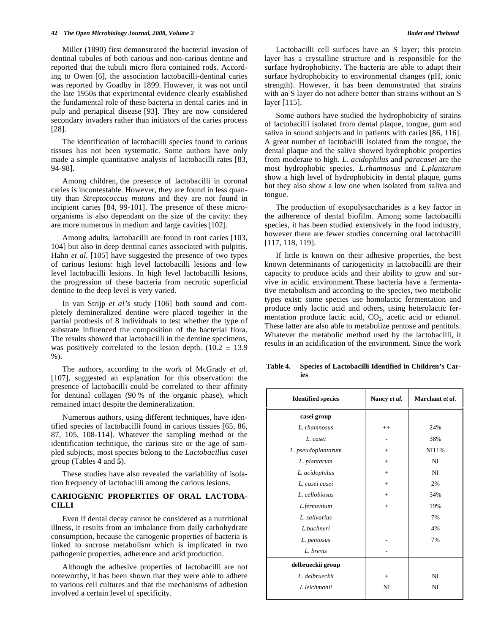Miller (1890) first demonstrated the bacterial invasion of dentinal tubules of both carious and non-carious dentine and reported that the tubuli micro flora contained rods. According to Owen [6], the association lactobacilli-dentinal caries was reported by Goadby in 1899*.* However, it was not until the late 1950s that experimental evidence clearly established the fundamental role of these bacteria in dental caries and in pulp and periapical disease [93]. They are now considered secondary invaders rather than initiators of the caries process [28].

 The identification of lactobacilli species found in carious tissues has not been systematic. Some authors have only made a simple quantitative analysis of lactobacilli rates [83, 94-98].

 Among children, the presence of lactobacilli in coronal caries is incontestable. However, they are found in less quantity than *Streptococcus mutans* and they are not found in incipient caries [84, 99-101]. The presence of these microorganisms is also dependant on the size of the cavity: they are more numerous in medium and large cavities[102].

 Among adults, lactobacilli are found in root caries [103, 104] but also in deep dentinal caries associated with pulpitis. Hahn *et al*. [105] have suggested the presence of two types of carious lesions: high level lactobacilli lesions and low level lactobacilli lesions. In high level lactobacilli lesions, the progression of these bacteria from necrotic superficial dentine to the deep level is very varied.

 In van Strijp *et al's* study [106] both sound and completely demineralized dentine were placed together in the partial prothesis of 8 individuals to test whether the type of substrate influenced the composition of the bacterial flora. The results showed that lactobacilli in the dentine specimens, was positively correlated to the lesion depth.  $(10.2 \pm 13.9)$ %).

 The authors, according to the work of McGrady *et al*. [107], suggested an explanation for this observation: the presence of lactobacilli could be correlated to their affinity for dentinal collagen (90 % of the organic phase), which remained intact despite the demineralization.

 Numerous authors, using different techniques, have identified species of lactobacilli found in carious tissues [65, 86, 87, 105, 108-114]. Whatever the sampling method or the identification technique, the carious site or the age of sampled subjects, most species belong to the *Lactobacillus casei* group (Tables **4** and **5**).

 These studies have also revealed the variability of isolation frequency of lactobacilli among the carious lesions.

# **CARIOGENIC PROPERTIES OF ORAL LACTOBA-CILLI**

 Even if dental decay cannot be considered as a nutritional illness, it results from an imbalance from daily carbohydrate consumption, because the cariogenic properties of bacteria is linked to sucrose metabolism which is implicated in two pathogenic properties, adherence and acid production.

 Although the adhesive properties of lactobacilli are not noteworthy, it has been shown that they were able to adhere to various cell cultures and that the mechanisms of adhesion involved a certain level of specificity.

 Lactobacilli cell surfaces have an S layer; this protein layer has a crystalline structure and is responsible for the surface hydrophobicity. The bacteria are able to adapt their surface hydrophobicity to environmental changes (pH, ionic strength). However, it has been demonstrated that strains with an S layer do not adhere better than strains without an S layer [115].

 Some authors have studied the hydrophobicity of strains of lactobacilli isolated from dental plaque, tongue, gum and saliva in sound subjects and in patients with caries [86, 116]. A great number of lactobacilli isolated from the tongue, the dental plaque and the saliva showed hydrophobic properties from moderate to high. *L. acidophilus* and *paracasei* are the most hydrophobic species. *L.rhamnosus* and *L.plantarum* show a high level of hydrophobicity in dental plaque, gums but they also show a low one when isolated from saliva and tongue.

 The production of exopolysaccharides is a key factor in the adherence of dental biofilm. Among some lactobacilli species, it has been studied extensively in the food industry, however there are fewer studies concerning oral lactobacilli [117, 118, 119].

 If little is known on their adhesive properties, the best known determinants of cariogenicity in lactobacilli are their capacity to produce acids and their ability to grow and survive in acidic environment.These bacteria have a fermentative metabolism and according to the species, two metabolic types exist; some species use homolactic fermentation and produce only lactic acid and others, using heterolactic fermentation produce lactic acid,  $CO<sub>2</sub>$ , acetic acid or ethanol. These latter are also able to metabolize pentose and pentitols. Whatever the metabolic method used by the lactobacilli, it results in an acidification of the environment. Since the work

**Table 4. Species of Lactobacilli Identified in Children's Caries** 

| <b>Identified species</b> | Nancy et al. | Marchant et al. |
|---------------------------|--------------|-----------------|
| casei group               |              |                 |
| L. rhamnosus              | $^{++}$      | 24%             |
| L. casei                  |              | 38%             |
| L. pseudoplantarum        | $+$          | NI11%           |
| L. plantarum              | $+$          | NI              |
| L. acidophilus            | $+$          | NI              |
| L. casei casei            | $+$          | 2%              |
| L. cellobiosus            | $+$          | 34%             |
| L.fermentum               | $+$          | 19%             |
| L. salivarius             |              | 7%              |
| L.buchneri                |              | 4%              |
| L. pentosus               |              | 7%              |
| L. brevis                 |              |                 |
| delbrueckii group         |              |                 |
| L. delbrueckii            | $+$          | NI              |
| L.leichmanii              | NI           | NI              |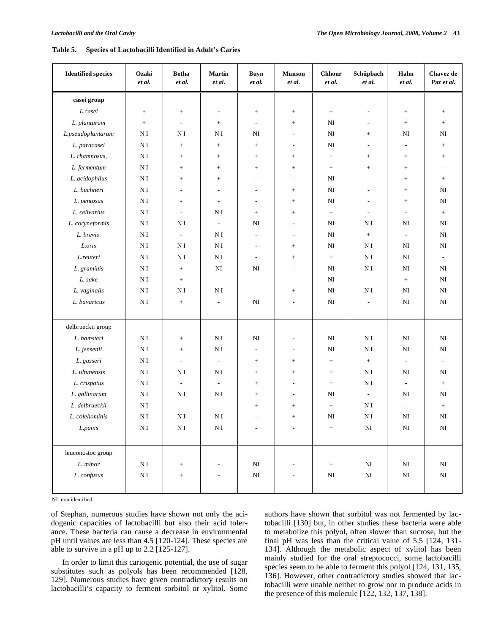| <b>Identified species</b> | Ozaki<br>et al. | <b>Botha</b><br>et al.   | <b>Martin</b><br>et al.  | <b>Buyn</b><br>et al.    | <b>Munson</b><br>et al.  | <b>Chhour</b><br>et al. | Schüpbach<br>et al.      | Hahn<br>et al.           | Chavez de<br>Paz et al. |
|---------------------------|-----------------|--------------------------|--------------------------|--------------------------|--------------------------|-------------------------|--------------------------|--------------------------|-------------------------|
| casei group               |                 |                          |                          |                          |                          |                         |                          |                          |                         |
| L.casei                   | $\! +$          | $^+$                     | $\overline{\phantom{a}}$ | $\boldsymbol{+}$         | $\! + \!\!\!\!$          | $+$                     | $\overline{\phantom{a}}$ | $\! +$                   | $\! + \!\!\!\!$         |
| L. plantarum              | $\! + \!\!\!\!$ | $\overline{\phantom{a}}$ | $\! +$                   | $\sim$                   | $+$                      | NI                      | $\tilde{\phantom{a}}$    | $\! +$                   | $\boldsymbol{+}$        |
| L.pseudoplantarum         | ΝI              | N I                      | N I                      | NI                       | $\overline{\phantom{a}}$ | NI                      | $\! + \!\!\!\!$          | NI                       | NI                      |
| L. paracasei              | N I             | $+$                      | $\! +$                   | $+$                      | $\overline{\phantom{a}}$ | NI                      | $\overline{\phantom{a}}$ | $\overline{\phantom{a}}$ | $+$                     |
| L. rhamnosus,             | ΝI              | $+$                      | $^+$                     | $+$                      | $^{+}$                   | $+$                     | $^{+}$                   | $^+$                     | $+$                     |
| L. fermentum              | ΝI              | $\! + \!\!\!\!$          |                          |                          | $\! + \!\!\!\!$          | $+$                     | $\! + \!\!\!\!$          |                          | $\sim$                  |
| L. acidophilus            | N <sub>I</sub>  | $+$                      | $\! +$                   | $\overline{a}$           | ٠                        | NI                      | $\sim$                   | $\! +$                   | $+$                     |
| L. buchneri               | ΝI              | $\overline{a}$           | $\overline{a}$           | $\overline{a}$           | $^{+}$                   | NI                      | $\overline{\phantom{a}}$ | $^+$                     | NI                      |
| L. pentosus               | ΝI              | $\overline{\phantom{a}}$ | $\overline{\phantom{a}}$ | $\overline{a}$           | $^{+}$                   | NI                      | $\overline{\phantom{a}}$ |                          | NI                      |
| L. salivarius             | N <sub>I</sub>  | $\sim$                   | ΝI                       | $+$                      | $+$                      | $+$                     | $\sim$                   | $\sim$                   | $+$                     |
| L. coryneformis           | ΝI              | N I                      | $\overline{\phantom{a}}$ | NI                       | $\overline{a}$           | NI                      | N I                      | NI                       | NI                      |
| L. brevis                 | ΝI              | $\bar{\phantom{a}}$      | ΝI                       | $\overline{\phantom{a}}$ | $\overline{a}$           | NI                      | $\! +$                   | $\overline{\phantom{a}}$ | $\rm NI$                |
| L.oris                    | N <sub>I</sub>  | N <sub>I</sub>           | ΝI                       | $\overline{\phantom{a}}$ | $\qquad \qquad +$        | NI                      | N <sub>I</sub>           | NI                       | $\rm NI$                |
| L.reuteri                 | ΝI              | N I                      | ΝI                       | $\overline{\phantom{a}}$ | $^{+}$                   | $+$                     | ΝI                       | NI                       | $\blacksquare$          |
| L. graminis               | ΝI              | $\boldsymbol{+}$         | NI                       | NI                       | $\overline{\phantom{a}}$ | NI                      | N <sub>I</sub>           | NI                       | NI                      |
| L. sake                   | N <sub>I</sub>  | $\qquad \qquad +$        | $\mathcal{L}$            | $\sim$                   | $\overline{\phantom{a}}$ | NI                      | $\overline{\phantom{a}}$ | $+$                      | $\rm NI$                |
| L. vaginalis              | ΝI              | N I                      | ΝI                       | $\overline{\phantom{a}}$ | $+$                      | NI                      | ΝI                       | NI                       | $\rm NI$                |
| L. bavaricus              | ΝI              | $^+$                     | $\overline{\phantom{a}}$ | N <sub>I</sub>           | $\overline{a}$           | NI                      | $\blacksquare$           | NI                       | $\rm NI$                |
| delbrueckii group         |                 |                          |                          |                          |                          |                         |                          |                          |                         |
| L. hamsteri               | ΝI              | $^+$                     | N <sub>I</sub>           | NI                       | $\overline{\phantom{a}}$ | NI                      | N <sub>I</sub>           | NI                       | $\mathbf{N}\mathbf{I}$  |
| L. jensenii               | N <sub>I</sub>  | $+$                      | N <sub>I</sub>           | $\overline{\phantom{a}}$ | $\overline{\phantom{a}}$ | NI                      | ΝI                       | N <sub>I</sub>           | $\rm NI$                |
| L. gasseri                | ΝI              | $\overline{\phantom{a}}$ | $\overline{\phantom{a}}$ | $\! +$                   | $\qquad \qquad +$        | $+$                     | $+$                      | $\overline{\phantom{a}}$ | $\blacksquare$          |
| L. ultunensis             | N <sub>I</sub>  | N I                      | ΝI                       | $\! +$                   | $+$                      | $+$                     | N <sub>I</sub>           | NI                       | NI                      |
| L. crispatus              | ΝI              | $\overline{\phantom{a}}$ | $\overline{\phantom{a}}$ | $\! +$                   | $\overline{\phantom{a}}$ | $+$                     | ΝI                       | $\overline{\phantom{a}}$ | $+$                     |
| L. gallinarum             | ΝI              | N I                      | ΝI                       | $\! +$                   | $\overline{\phantom{a}}$ | NI                      | $\overline{\phantom{a}}$ | NI                       | NI                      |
| L. delbrueckii            | N <sub>I</sub>  | $\overline{a}$           | $\overline{\phantom{a}}$ | $^+$                     | $^+$                     | $\boldsymbol{+}$        | N <sub>I</sub>           | $\overline{\phantom{a}}$ | $+$                     |
| L. colehominis            | N <sub>I</sub>  | N <sub>I</sub>           | N <sub>I</sub>           | $\overline{\phantom{a}}$ | $+$                      | NI                      | N <sub>I</sub>           | N <sub>I</sub>           | NI                      |
| L.panis                   | N <sub>I</sub>  | N <sub>I</sub>           | $\rm N\,I$               | $\overline{\phantom{a}}$ |                          | $+$                     | $\mathbf{N}\mathbf{I}$   | $_{\rm NI}$              | $\rm NI$                |
|                           |                 |                          |                          |                          |                          |                         |                          |                          |                         |
| leuconostoc group         |                 |                          |                          |                          |                          |                         |                          |                          |                         |
| L. minor                  | N I             | $\! + \!\!\!\!$          | $\overline{\phantom{a}}$ | N <sub>I</sub>           |                          | $\boldsymbol{+}$        | $\rm NI$                 | NI                       | $\rm NI$                |
| L. confusus               | $\rm N\,I$      | $\qquad \qquad +$        | $\overline{\phantom{a}}$ | $\mathbf{N}\mathbf{I}$   | $\overline{\phantom{a}}$ | $_{\rm NI}$             | $\rm NI$                 | $\mathbf{N}\mathbf{I}$   | $\rm NI$                |
|                           |                 |                          |                          |                          |                          |                         |                          |                          |                         |

NI: non identified.

of Stephan, numerous studies have shown not only the acidogenic capacities of lactobacilli but also their acid tolerance. These bacteria can cause a decrease in environmental pH until values are less than 4.5 [120-124]. These species are able to survive in a pH up to 2.2 [125-127].

 In order to limit this cariogenic potential, the use of sugar substitutes such as polyols has been recommended [128, 129]. Numerous studies have given contradictory results on lactobacilli's capacity to ferment sorbitol or xylitol. Some authors have shown that sorbitol was not fermented by lactobacilli [130] but, in other studies these bacteria were able to metabolize this polyol, often slower than sucrose, but the final pH was less than the critical value of 5.5 [124, 131- 134]. Although the metabolic aspect of xylitol has been mainly studied for the oral streptococci, some lactobacilli species seem to be able to ferment this polyol [124, 131, 135, 136]. However, other contradictory studies showed that lactobacilli were unable neither to grow nor to produce acids in the presence of this molecule [122, 132, 137, 138].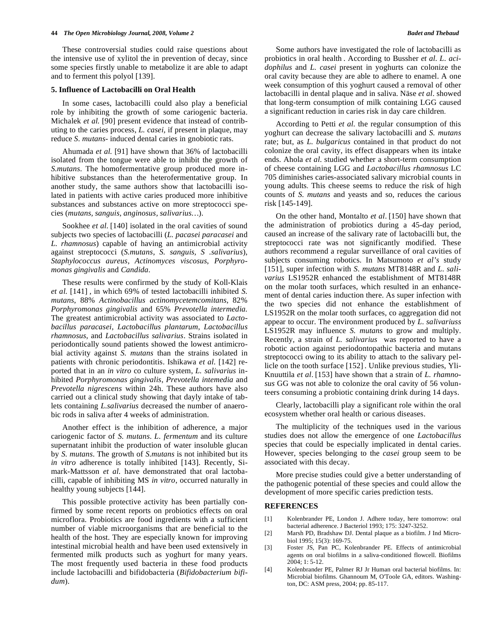These controversial studies could raise questions about the intensive use of xylitol the in prevention of decay, since some species firstly unable to metabolize it are able to adapt and to ferment this polyol [139].

#### **5. Influence of Lactobacilli on Oral Health**

 In some cases, lactobacilli could also play a beneficial role by inhibiting the growth of some cariogenic bacteria. Michalek *et al.* [90] present evidence that instead of contributing to the caries process, *L. casei,* if present in plaque, may reduce *S. mutans*- induced dental caries in gnobiotic rats.

 Ahumada *et al.* [91] have shown that 36% of lactobacilli isolated from the tongue were able to inhibit the growth of *S.mutans*. The homofermentative group produced more inhibitive substances than the heterofermentative group. In another study, the same authors show that lactobacilli isolated in patients with active caries produced more inhibitive substances and substances active on more streptococci species (*mutans, sanguis, anginosus, salivarius…*).

Sookhee *et al.* [140] isolated in the oral cavities of sound subjects two species of lactobacilli (*L. pacasei paracasei* and *L. rhamnosus*) capable of having an antimicrobial activity against streptococci (*S.mutans*, *S. sanguis, S .salivarius*), *Staphylococcus aureus*, *Actinomyces viscosus*, *Porphyromonas gingivalis* and *Candida*.

 These results were confirmed by the study of Koll-Klais *et al.* [141] *,* in which 69% of tested lactobacilli inhibited *S. mutans*, 88% *Actinobacillus actinomycetemcomitans*, 82% *Porphyromonas gingivalis* and 65% *Prevotella intermedia.*  The greatest antimicrobial activity was associated to *Lactobacillus paracasei*, *Lactobacillus plantarum*, *Lactobacillus rhamnosus*, and *Lactobacillus salivarius*. Strains isolated in periodontically sound patients showed the lowest antimicrobial activity against *S. mutans* than the strains isolated in patients with chronic periodontitis. Ishikawa *et al.* [142] reported that in an *in vitro* co culture system, *L. salivarius* inhibited *Porphyromonas gingivalis*, *Prevotella intemedia* and *Prevotella nigrescens* within 24h. These authors have also carried out a clinical study showing that dayly intake of tablets containing *L.salivarius* decreased the number of anaerobic rods in saliva after 4 weeks of administration.

 Another effect is the inhibition of adherence*,* a major cariogenic factor of *S. mutans*. *L. fermentum* and its culture supernatant inhibit the production of water insoluble glucan by *S. mutans*. The growth of *S.mutans* is not inhibited but its *in vitro* adherence is totally inhibited [143]. Recently, Simark-Mattsson *et al*. have demonstrated that oral lactobacilli, capable of inhibiting MS *in vitro*, occurred naturally in healthy young subjects [144].

 This possible protective activity has been partially confirmed by some recent reports on probiotics effects on oral microflora. Probiotics are food ingredients with a sufficient number of viable microorganisms that are beneficial to the health of the host. They are especially known for improving intestinal microbial health and have been used extensively in fermented milk products such as yoghurt for many years. The most frequently used bacteria in these food products include lactobacilli and bifidobacteria (*Bifidobacterium bifidum*).

 Some authors have investigated the role of lactobacilli as probiotics in oral health . According to Bussher *et al*. *L. acidophilus* and *L. casei* present in yoghurts can colonize the oral cavity because they are able to adhere to enamel. A one week consumption of this yoghurt caused a removal of other lactobacilli in dental plaque and in saliva. Näse *et al*. showed that long-term consumption of milk containing LGG caused a significant reduction in caries risk in day care children.

 According to Petti *et al*. the regular consumption of this yoghurt can decrease the salivary lactobacilli and *S. mutans* rate; but, as *L. bulgaricus* contained in that product do not colonize the oral cavity, its effect disappears when its intake ends. Ahola *et al*. studied whether a short-term consumption of cheese containing LGG and *Lactobacillus rhamnosus* LC 705 diminishes caries-associated salivary microbial counts in young adults. This cheese seems to reduce the risk of high counts of *S. mutans* and yeasts and so, reduces the carious risk [145-149].

 On the other hand, Montalto *et al*. [150] have shown that the administration of probiotics during a 45-day period, caused an increase of the salivary rate of lactobacilli but, the streptococci rate was not significantly modified. These authors recommend a regular surveillance of oral cavities of subjects consuming robotics. In Matsumoto *et al's* study [151], super infection with *S. mutans* MT8148R and *L. salivarius* LS1952R enhanced the establishment of MT8148R on the molar tooth surfaces, which resulted in an enhancement of dental caries induction there. As super infection with the two species did not enhance the establishment of LS1952R on the molar tooth surfaces, co aggregation did not appear to occur. The environment produced by *L. salivariuss*  LS1952R may influence *S. mutans* to grow and multiply. Recently, a strain of *L. salivarius* was reported to have a robotic action against periodontopathic bacteria and mutans streptococci owing to its ability to attach to the salivary pellicle on the tooth surface [152] . Unlike previous studies, Yli-Knuuttila *et al*. [153] have shown that a strain of *L. rhamnosus* GG was not able to colonize the oral cavity of 56 volunteers consuming a probiotic containing drink during 14 days.

 Clearly, lactobacilli play a significant role within the oral ecosystem whether oral health or carious diseases.

 The multiplicity of the techniques used in the various studies does not allow the emergence of one *Lactobacillus* species that could be especially implicated in dental caries. However, species belonging to the *casei* group seem to be associated with this decay.

 More precise studies could give a better understanding of the pathogenic potential of these species and could allow the development of more specific caries prediction tests.

#### **REFERENCES**

- [1] Kolenbrander PE, London J. Adhere today, here tomorrow: oral bacterial adherence. J Bacteriol 1993; 175: 3247-3252.
- [2] Marsh PD, Bradshaw DJ. Dental plaque as a biofilm. J Ind Microbiol 1995; 15(3): 169-75.
- [3] Foster JS, Pan PC, Kolenbrander PE. Effects of antimicrobial agents on oral biofilms in a saliva-conditioned flowcell. Biofilms 2004; 1: 5-12.
- [4] Kolenbrander PE, Palmer RJ Jr Human oral bacterial biofilms. In: Microbial biofilms. Ghannoum M, O'Toole GA, editors. Washington, DC: ASM press, 2004; pp. 85-117.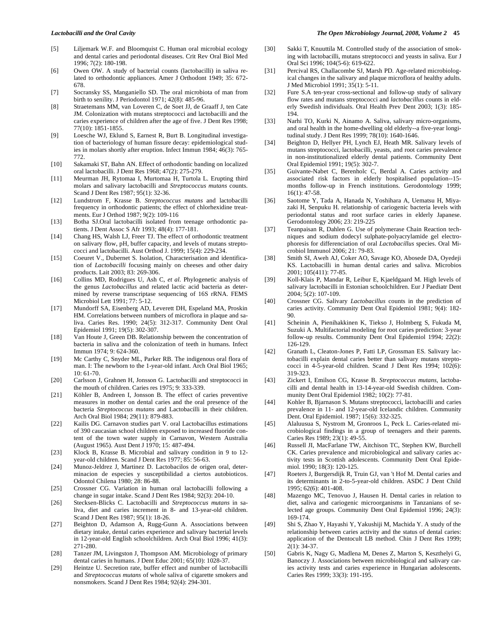- [5] Liljemark W.F. and Bloomquist C. Human oral microbial ecology and dental caries and periodontal diseases. Crit Rev Oral Biol Med 1996; 7(2): 180-198.
- [6] Owen OW. A study of bacterial counts (lactobacilli) in saliva related to orthodontic appliances. Amer J Orthodont 1949; 35: 672- 678.
- [7] Socransky SS, Manganiello SD. The oral microbiota of man from birth to senility. J Periodontol 1971; 42(8): 485-96.
- [8] Straetemans MM, van Loveren C, de Soet JJ, de Graaff J, ten Cate JM. Colonization with mutans streptococci and lactobacilli and the caries experience of children after the age of five. J Dent Res 1998; 77(10): 1851-1855.
- [9] Loesche WJ, Eklund S, Earnest R, Burt B. Longitudinal investigation of bacteriology of human fissure decay: epidemiological studies in molars shortly after eruption. Infect Immun 1984; 46(3): 765- 772.
- [10] Sakamaki ST, Bahn AN. Effect of orthodontic banding on localized oral lactobacilli. J Dent Res 1968; 47(2): 275-279.
- [11] Meurman JH, Rytomaa I, Murtomaa H, Turtola L. Erupting third molars and salivary lactobacilli and *Streptococcus mutans* counts. Scand J Dent Res 1987; 95(1): 32-36.
- [12] Lundstrom F, Krasse B. *Streptococcus mutans* and lactobacilli frequency in orthodontic patients; the effect of chlorhexidine treatments. Eur J Orthod 1987; 9(2): 109-116
- [13] Botha SJ.Oral lactobacilli isolated from teenage orthodontic patients. J Dent Assoc S Afr 1993; 48(4): 177-181.
- [14] Chang HS, Walsh LJ, Freer TJ. The effect of orthodontic treatment on salivary flow, pH, buffer capacity, and levels of mutans streptococci and lactobacilli. Aust Orthod J. 1999; 15(4): 229-234.
- [15] Coeuret V., Dubernet S. Isolation, Characterisation and identification of *Lactobacilli* focusing mainly on cheeses and other dairy products. Lait 2003; 83: 269-306.
- [16] Collins MD, Rodrigues U, Ash C, *et al*. Phylogenetic analysis of the genus *Lactobacillus* and related lactic acid bacteria as determined by reverse transcriptase sequencing of 16S rRNA. FEMS Microbiol Lett 1991; 77: 5-12.
- [17] Mundorff SA, Eisenberg AD, Leverett DH, Espeland MA, Proskin HM. Correlations between numbers of microflora in plaque and saliva. Caries Res. 1990; 24(5): 312-317. Community Dent Oral Epidemiol 1991; 19(5): 302-307.
- [18] Van Houte J, Green DB. Relationship between the concentration of bacteria in saliva and the colonization of teeth in humans. Infect Immun 1974; 9: 624-360.
- [19] Mc Carthy C, Snyder ML, Parker RB. The indigenous oral flora of man. I: The newborn to the 1-year-old infant. Arch Oral Biol 1965; 10: 61-70.
- [20] Carlsson J, Grahnen H, Jonsson G. Lactobacilli and streptococci in the mouth of children. Caries res 1975; 9: 333-339.
- [21] Köhler B, Andreen I, Jonsson B. The effect of caries preventive measures in mother on dental caries and the oral presence of the bacteria *Streptococcus mutans* and Lactobacilli in their children. Arch Oral Biol 1984; 29(11): 879-883.
- [22] Kailis DG. Carnavon studies part V. oral Lactobacillus estimations of 390 caucasian school children exposed to increased fluoride content of the town water supply in Carnavon, Western Australia (August 1965). Aust Dent J 1970; 15: 487-494.
- [23] Klock B, Krasse B. Microbial and salivary condition in 9 to 12year-old children. Scand J Dent Res 1977; 85: 56-63.
- [24] Munoz-Jeldrez J, Martinez D. Lactobacilos de origen oral, determinacion de especies y susceptibilidad a ciertos autobioticos. Odontol Chilena 1980; 28: 86-88.
- [25] Crossner CG. Variation in human oral lactobacilli following a change in sugar intake. Scand J Dent Res 1984; 92(3): 204-10.
- [26] Stecksen-Blicks C. Lactobacilli and *Streptococcus mutans* in saliva, diet and caries increment in 8- and 13-year-old children. Scand J Dent Res 1987; 95(1): 18-26.
- [27] Beighton D, Adamson A, Rugg-Gunn A. Associations between dietary intake, dental caries experience and salivary bacterial levels in 12-year-old English schoolchildren. Arch Oral Biol 1996; 41(3): 271-280.
- [28] Tanzer JM, Livingston J, Thompson AM. Microbiology of primary dental caries in humans. J Dent Educ 2001; 65(10): 1028-37.
- [29] Heintze U. Secretion rate, buffer effect and number of lactobacilli and *Streptococcus mutans* of whole saliva of cigarette smokers and nonsmokers. Scand J Dent Res 1984; 92(4): 294-301.
- [30] Sakki T, Knuuttila M. Controlled study of the association of smoking with lactobacilli, mutans streptococci and yeasts in saliva. Eur J Oral Sci 1996; 104(5-6): 619-622.
- [31] Percival RS, Challacombe SJ, Marsh PD. Age-related microbiological changes in the salivary and plaque microflora of healthy adults. J Med Microbiol 1991; 35(1): 5-11.
- [32] Fure S.A ten-year cross-sectional and follow-up study of salivary flow rates and mutans streptococci and *lactobacillus* counts in elderly Swedish individuals. Oral Health Prev Dent 2003; 1(3): 185- 194.
- [33] Narhi TO, Kurki N, Ainamo A. Saliva, salivary micro-organisms, and oral health in the home-dwelling old elderly--a five-year longitudinal study. J Dent Res 1999; 78(10): 1640-1646.
- [34] Beighton D, Hellyer PH, Lynch EJ, Heath MR. Salivary levels of mutans streptococci, lactobacilli, yeasts, and root caries prevalence in non-institutionalized elderly dental patients. Community Dent Oral Epidemiol 1991; 19(5): 302-7.
- [35] Guivante-Nabet C, Berenholc C, Berdal A. Caries activity and associated risk factors in elderly hospitalised population--15 months follow-up in French institutions. Gerodontology 1999; 16(1): 47-58.
- [36] Saotome Y, Tada A, Hanada N, Yoshihara A, Uematsu H, Miyazaki H, Senpuku H. relationship of cariogenic bacteria levels with periodontal status and root surface caries in elderly Japanese. Gerodontology 2006; 23: 219-225
- [37] Teanpaisan R, Dahlen G. Use of polymerase Chain Reaction techniques and sodium dodecyl sulphate-polyacrylamide gel electrophoresis for differenciation of oral *Lactobacillus* species. Oral Microbiol Immunol 2006; 21: 79-83.
- [38] Smith SI, Aweh AJ, Coker AO, Savage KO, Abosede DA, Oyedeji KS. Lactobacilli in human dental caries and saliva. Microbios 2001; 105(411): 77-85.
- [39] Koll-Klais P, Mandar R, Leibur E, Kjaeldgaard M. High levels of salivary lactobacilli in Estonian schoolchildren. Eur J Paediatr Dent 2004; 5(2): 107-109.
- [40] Crossner CG. Salivary *Lactobacillus* counts in the prediction of caries activity. Community Dent Oral Epidemiol 1981; 9(4): 182- 90.
- [41] Scheinin A, Pienihakkinen K, Tiekso J, Holmberg S, Fukuda M, Suzuki A. Multifactorial modeling for root caries prediction: 3-year follow-up results. Community Dent Oral Epidemiol 1994; 22(2): 126-129.
- [42] Granath L, Cleaton-Jones P, Fatti LP, Grossman ES. Salivary lactobacilli explain dental caries better than salivary mutans streptococci in 4-5-year-old children. Scand J Dent Res 1994; 102(6): 319-323.
- [43] Zickert I, Emilson CG, Krasse B. *Streptococcus mutans*, lactobacilli and dental health in 13-14-year-old Swedish children. Community Dent Oral Epidemiol 1982; 10(2): 77-81.
- [44] Kohler B, Bjarnason S. Mutans streptococci, lactobacilli and caries prevalence in 11- and 12-year-old Icelandic children. Community Dent. Oral Epidemiol. 1987; 15(6): 332-325.
- [45] Alaluusua S, Nystrom M, Gronroos L, Peck L. Caries-related microbiological findings in a group of teenagers and their parents. Caries Res 1989; 23(1): 49-55.
- [46] Russell JI, MacFarlane TW, Aitchison TC, Stephen KW, Burchell CK. Caries prevalence and microbiological and salivary caries activity tests in Scottish adolescents. Community Dent Oral Epidemiol. 1990; 18(3): 120-125.
- [47] Roeters J, Burgersdijk R, Truin GJ, van 't Hof M. Dental caries and its determinants in 2-to-5-year-old children. ASDC J Dent Child 1995; 62(6): 401-408.
- [48] Mazengo MC, Tenovuo J, Hausen H. Dental caries in relation to diet, saliva and cariogenic microorganisms in Tanzanians of selected age groups. Community Dent Oral Epidemiol 1996; 24(3): 169-174.
- [49] Shi S, Zhao Y, Hayashi Y, Yakushiji M, Machida Y. A study of the relationship between caries activity and the status of dental caries: application of the Dentocult LB method. Chin J Dent Res 1999; 2(1): 34-37.
- [50] Gabris K, Nagy G, Madlena M, Denes Z, Marton S, Keszthelyi G, Banoczy J. Associations between microbiological and salivary caries activity tests and caries experience in Hungarian adolescents. Caries Res 1999; 33(3): 191-195.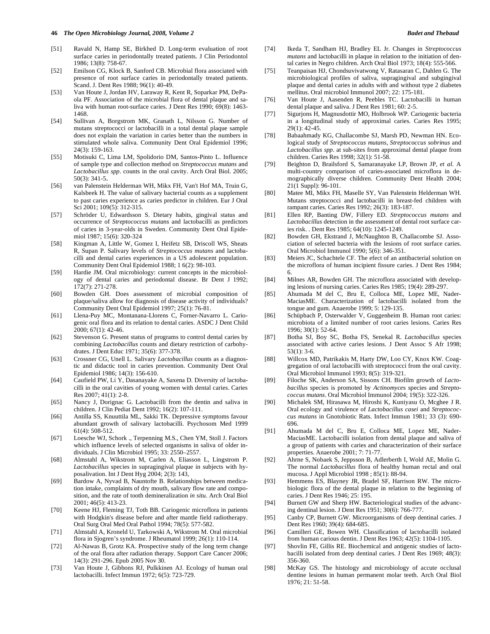- [51] Ravald N, Hamp SE, Birkhed D. Long-term evaluation of root surface caries in periodontally treated patients. J Clin Periodontol 1986; 13(8): 758-67.
- [52] Emilson CG, Klock B, Sanford CB. Microbial flora associated with presence of root surface caries in periodontally treated patients. Scand. J. Dent Res 1988; 96(1): 40-49.
- [53] Van Houte J, Jordan HV, Laraway R, Kent R, Soparkar PM, DePaola PF. Association of the microbial flora of dental plaque and saliva with human root-surface caries. J Dent Res 1990; 69(8): 1463- 1468.
- [54] Sullivan A, Borgstrom MK, Granath L, Nilsson G. Number of mutans streptococci or lactobacilli in a total dental plaque sample does not explain the variation in caries better than the numbers in stimulated whole saliva. Community Dent Oral Epidemiol 1996; 24(3): 159-163.
- [55] Motisuki C, Lima LM, Spolidorio DM, Santos-Pinto L. Influence of sample type and collection method on *Streptococcus mutans* and *Lactobacillus spp*. counts in the oral cavity. Arch Oral Biol. 2005; 50(3): 341-5.
- [56] van Palenstein Helderman WH, Mikx FH, Van't Hof MA, Truin G, Kalsbeek H. The value of salivary bacterial counts as a supplement to past caries experience as caries predictor in children. Eur J Oral Sci 2001: 109(5): 312-315.
- [57] Schröder U, Edwardsson S. Dietary habits, gingival status and occurrence of *Streptococcus mutans* and lactobacilli as predictors of caries in 3-year-olds in Sweden. Community Dent Oral Epidemiol 1987; 15(6): 320-324
- [58] Kingman A, Little W, Gomez I, Heifetz SB, Driscoll WS, Sheats R, Supan P. Salivary levels of *Streptococcus mutans* and lactobacilli and dental caries experiences in a US adolescent population. Community Dent Oral Epidemiol 1988; 1 6(2): 98-103.
- [59] Hardie JM. Oral microbiology: current concepts in the microbiology of dental caries and periodontal disease. Br Dent J 1992; 172(7): 271-278.
- [60] Bowden GH. Does assessment of microbial composition of plaque/saliva allow for diagnosis of disease activity of individuals? Community Dent Oral Epidemiol 1997; 25(1): 76-81.
- [61] Llena-Puy MC, Montanana-Llorens C, Forner-Navarro L. Cariogenic oral flora and its relation to dental caries. ASDC J Dent Child 2000; 67(1): 42-46.
- [62] Stevenson G. Present status of programs to control dental caries by combining *Lactobacillus* counts and dietary restriction of carbohydrates. J Dent Educ 1971; 35(6): 377-378.
- [63] Crossner CG, Unell L. Salivary *Lactobacillus* counts as a diagnostic and didactic tool in caries prevention. Community Dent Oral Epidemiol 1986; 14(3): 156-610.
- [64] Caufield PW, Li Y, Dasanayake A, Saxena D. Diversity of lactobacilli in the oral cavities of young women with dental caries. Caries Res 2007; 41(1): 2-8.
- [65] Nancy J, Dorignac G. Lactobacilli from the dentin and saliva in children. J Clin Pediat Dent 1992; 16(2): 107-111.
- [66] Antilla SS, Knuuttila ML, Sakki TK. Depressive symptoms favour abundant growth of salivary lactobacilli. Psychosom Med 1999 61(4): 508-512.
- [67] Loesche WJ, Schork ., Terpenning M.S., Chen YM, Stoll J. Factors which influence levels of selected organisms in saliva of older individuals. J Clin Microbiol 1995; 33: 2550–2557.
- [68] Almstahl A, Wikstrom M, Carlen A, Eliasson L, Lingstrom P. *Lactobacillus* species in supragingival plaque in subjects with hyposalivation. Int J Dent Hyg 2004; 2(3): 143,
- [69] Bardow A, Nyvad B, Nauntofte B. Relationships between medication intake, complaints of dry mouth, salivary flow rate and composition, and the rate of tooth demineralization *in situ.* Arch Oral Biol 2001; 46(5): 413-23.
- [70] Keene HJ, Fleming TJ, Toth BB. Cariogenic microflora in patients with Hodgkin's disease before and after mantle field radiotherapy. Oral Surg Oral Med Oral Pathol 1994; 78(5): 577-582.
- [71] Almstahl A, Kroneld U, Tarkowski A, Wikstrom M. Oral microbial flora in Sjogren's syndrome. J Rheumatol 1999; 26(1): 110-114.
- [72] Al-Nawas B, Grotz KA. Prospective study of the long term change of the oral flora after radiation therapy. Support Care Cancer 2006; 14(3): 291-296. Epub 2005 Nov 30.
- [73] Van Houte J, Gibbons RJ, Pulkkinen AJ. Ecology of human oral lactobacilli. Infect Immun 1972; 6(5): 723-729.
- [74] Ikeda T, Sandham HJ, Bradley EL Jr. Changes in *Streptococcus mutans* and lactobacilli in plaque in relation to the initiation of dental caries in Negro children. Arch Oral Biol 1973; 18(4): 555-566.
- [75] Teanpaisan HJ, Chondsuvivatwong V, Ratasaran C, Dahlen G. The microbiological profiles of saliva, supragingival and subgingival plaque and dental caries in adults with and without type 2 diabetes mellitus. Oral microbiol Immunol 2007; 22: 175-181.
- [76] Van Houte J, Aasenden R, Peebles TC. Lactobacilli in human dental plaque and saliva. J Dent Res 1981; 60: 2-5.
- [77] Sigurjons H, Magnusdottir MO, Holbrook WP. Cariogenic bacteria in a longitudinal study of approximal caries. Caries Res 1995; 29(1): 42-45.
- [78] Babaahmady KG, Challacombe SJ, Marsh PD, Newman HN. Ecological study of *Streptococcus mutans*, *Streptococcus sobrinus* and *Lactobacillus spp*. at sub-sites from approximal dental plaque from children. Caries Res 1998; 32(1): 51-58.
- [79] Beighton D, Brailsford S, Samaranayake LP, Brown JP, *et al*. A multi-country comparison of caries-associated microflora in demographically diverse children. Community Dent Health 2004; 21(1 Suppl): 96-101.
- [80] Matee MI, Mikx FH, Maselle SY, Van Palenstein Helderman WH. Mutans streptococci and lactobacilli in breast-fed children with rampant caries. Caries Res 1992; 26(3): 183-187.
- [81] Ellen RP, Banting DW, Fillery ED. *Streptococcus mutans* and *Lactobacillus* detection in the assessment of dental root surface caries risk. . Dent Res 1985; 64(10): 1245-1249.
- [82] Bowden GH, Ekstrand J, McNaughton B, Challacombe SJ. Association of selected bacteria with the lesions of root surface caries. Oral Microbiol Immunol 1990; 5(6): 346-351.
- [83] Meiers JC, Schachtele CF. The efect of an antibacterial solution on the microflora of human incipient fissure caries. J Dent Res 1984; 6.
- [84] Milnes AR, Bowden GH. The microflora associated with developing lesions of nursing caries. Caries Res 1985; 19(4): 289-297.
- [85] Ahumada M del C, Bru E, Colloca ME, Lopez ME, Nader-MaciasME. Characterization of lactobacilli isolated from the tongue and gum. Anaerobe 1999; 5: 129-135.
- [86] Schüpbach P, Osterwalder V, Guggenheim B. Human root caries: microbiota of a limited number of root caries lesions. Caries Res 1996; 30(1): 52-64.
- [87] Botha SJ, Boy SC, Botha FS, Senekal R. *Lactobacillus* species associated with active caries lesions. J Dent Assoc S Afr 1998; 53(1): 3-6.
- [88] Willcox MD, Patrikakis M, Harty DW, Loo CY, Knox KW. Coaggregation of oral lactobacilli with streptococci from the oral cavity. Oral Microbiol Immunol 1993; 8(5): 319-321.
- [89] Filoche SK, Anderson SA, Sissons CH. Biofilm growth of *Lactobacillus* species is promoted by *Actinomyce*s species and *Streptococcus mutans*. Oral Microbiol Immunol 2004; 19(5): 322-326.
- [90] Michalek SM, Hirasawa M, Hiroshi K, Kuniyasu O, Mcghee J R. Oral ecology and virulence of *Lactobacillus casei* and *Streptococcus mutans* in Gnotobiotic Rats. Infect Immun 1981; 33 (3): 690- 696.
- [91] Ahumada M del C, Bru E, Colloca ME, Lopez ME, Nader-MaciasME. Lactobacilli isolation from dental plaque and saliva of a group of patients with caries and characterization of their surface properties. Anaerobe 2001; 7: 71-77.
- [92] Ahrne S, Nobaek S, Jeppsson B, Adlerberth I, Wold AE, Molin G. The normal *Lactobacillus* flora of healthy human rectal and oral mucosa. J Appl Microbiol 1998 ; 85(1): 88-94.
- [93] Hemmens ES, Blayney JR, Bradel SF, Harrison RW. The microbiologic flora of the dental plaque in relation to the beginning of caries. J Dent Res 1946; 25: 195.
- [94] Burnett GW and Sherp HW. Bacteriological studies of the advancing dentinal lesion. J Dent Res 1951; 30(6): 766-777.
- [95] Canby CP, Burnett GW. Microorganisms of deep dentinal caries. J Dent Res 1960; 39(4): 684-685.
- [96] Camilleri GE, Bowen WH. Classification of lactobacilli isolated from human carious dentin. J Dent Res 1963; 42(5): 1104-1105.
- [97] Shovlin FE, Gillis RE. Biochemical and antigenic studies of lactobacilli isolated from deep dentinal caries. J Dent Res 1969; 48(3): 356-360.
- [98] McKay GS. The histology and microbiology of accute occlusal dentine lesions in human permanent molar teeth. Arch Oral Biol 1976; 21: 51-58.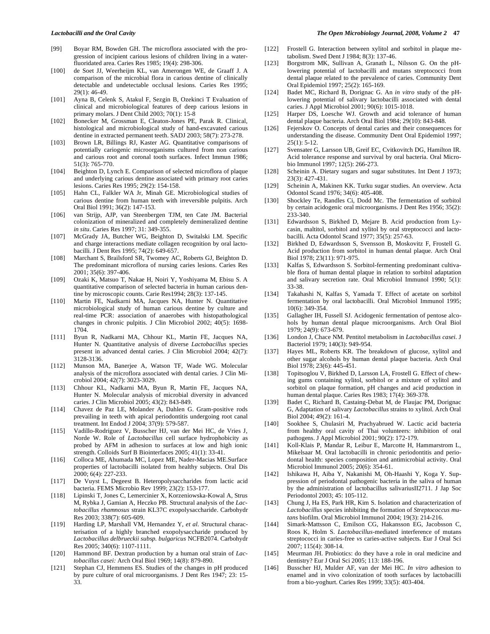- [99] Boyar RM, Bowden GH. The microflora associated with the progression of incipient carious lesions of children living in a waterfluoridated area. Caries Res 1985; 19(4): 298-306.
- [100] de Soet JJ, Weerheijm KL, van Amerongen WE, de Graaff J. A comparison of the microbial flora in carious dentine of clinically detectable and undetectable occlusal lesions. Caries Res 1995; 29(1): 46-49.
- [101] Ayna B, Celenk S, Atakul F, Sezgin B, Ozekinci T Evaluation of clinical and microbiological features of deep carious lesions in primary molars. J Dent Child 2003; 70(1): 15-8
- [102] Bonecker M, Grossman E, Cleaton-Jones PE, Parak R. Clinical, histological and microbiological study of hand-excavated carious dentine in extracted permanent teeth. SADJ 2003; 58(7): 273-278.
- [103] Brown LR, Billings RJ, Kaster AG. Quantitative comparisons of potentially cariogenic microorganisms cultured from non carious and carious root and coronal tooth surfaces. Infect Immun 1986; 51(3): 765-770.
- [104] Beighton D, Lynch E. Comparison of selected microflora of plaque and underlying carious dentine associated with primary root caries lesions. Caries Res 1995; 29(2): 154-158.
- [105] Hahn CL, Falkler WA Jr, Minah GE. Microbiological studies of carious dentine from human teeth with irreversible pulpitis. Arch Oral Biol 1991; 36(2): 147-153.
- [106] van Strijp, AJP, van Steenbergen TJM, ten Cate JM. Bacterial colonization of mineralized and completely demineralized dentine *in situ*. Caries Res 1997; 31: 349-355.
- [107] McGrady JA, Butcher WG, Beighton D, Switalski LM. Specific and charge interactions mediate collagen recognition by oral lactobacilli. J Dent Res 1995; 74(2): 649-657.
- [108] Marchant S, Brailsford SR, Twomey AC, Roberts GJ, Beighton D. The predominant microflora of nursing caries lesions. Caries Res 2001; 35(6): 397-406.
- [109] Ozaki K, Matsuo T, Nakae H, Noiri Y, Yoshiyama M, Ebisu S. A quantitative comparison of selected bacteria in human carious dentine by microscopic counts. Carie Res1994; 28(3): 137-145.
- [110] Martin FE, Nadkarni MA, Jacques NA, Hunter N. Quantitative microbiological study of human carious dentine by culture and real-time PCR: association of anaerobes with histopathological changes in chronic pulpitis. J Clin Microbiol 2002; 40(5): 1698- 1704.
- [111] Byun R, Nadkarni MA, Chhour KL, Martin FE, Jacques NA, Hunter N. Quantitative analysis of diverse *Lactobacillus* species present in advanced dental caries. J Clin Microbiol 2004; 42(7): 3128-3136.
- [112] Munson MA, Banerjee A, Watson TF, Wade WG. Molecular analysis of the microflora associated with dental caries. J Clin Microbiol 2004; 42(7): 3023-3029.
- [113] Chhour KL, Nadkarni MA, Byun R, Martin FE, Jacques NA, Hunter N. Molecular analysis of microbial diversity in advanced caries. J Clin Microbiol 2005; 43(2): 843-849.
- [114] Chavez de Paz LE, Molander A, Dahlen G. Gram-positive rods prevailing in teeth with apical periodontitis undergoing root canal treatment. Int Endod J 2004; 37(9): 579-587.
- [115] Vadillo-Rodriguez V, Busscher HJ, van der Mei HC, de Vries J, Norde W. Role of *Lactobacillus* cell surface hydrophobicity as probed by AFM in adhesion to surfaces at low and high ionic strength. Colloids Surf B Biointerfaces 2005; 41(1): 33-41.
- [116] Colloca ME, Ahumada MC, Lopez ME, Nader-Macias ME.Surface properties of lactobacilli isolated from healthy subjects. Oral Dis 2000; 6(4): 227-233.
- [117] De Vuyst L, Degeest B. Heteropolysaccharides from lactic acid bacteria. FEMS Microbio Rev 1999; 23(2): 153-177.
- [118] Lipinski T, Jones C, Lemercinier X, Korzeniowska-Kowal A, Strus M, Rybka J, Gamian A, Heczko PB. Structural analysis of the *Lactobacillus rhamnosus* strain KL37C exopolysaccharide. Carbohydr Res 2003; 338(7): 605-609.
- [119] Harding LP, Marshall VM, Hernandez Y, *et al*. Structural characterisation of a highly branched exopolysaccharide produced by *Lactobacillus delbrueckii subsp. bulgaricus* NCFB2074. Carbohydr Res 2005; 340(6): 1107-1111.
- [120] Hammond BF. Dextran production by a human oral strain of *Lactobacillus casei:* Arch Oral Biol 1969; 14(8): 879-890.
- [121] Stephan CJ, Hemmens ES. Studies of the changes in pH produced by pure culture of oral microorganisms. J Dent Res 1947; 23: 15- 33.

#### *Lactobacilli and the Oral Cavity The Open Microbiology Journal, 2008, Volume 2* **47**

- [122] Frostell G. Interaction between xylitol and sorbitol in plaque metabolism. Swed Dent J 1984; 8(3): 137-46.
- [123] Borgstrom MK, Sullivan A, Granath L, Nilsson G. On the pHlowering potential of lactobacilli and mutans streptococci from dental plaque related to the prevalence of caries. Community Dent Oral Epidemiol 1997; 25(2): 165-169.
- [124] Badet MC, Richard B, Dorignac G. An *in vitro* study of the pHlowering potential of salivary lactobacilli associated with dental caries. J Appl Microbiol 2001; 90(6): 1015-1018.
- [125] Harper DS, Loesche WJ. Growth and acid tolerance of human dental plaque bacteria. Arch Oral Biol 1984; 29(10): 843-848.
- [126] Fejerskov O. Concepts of dental caries and their consequences for understanding the disease. Community Dent Oral Epidemiol 1997;  $25(1): 5-12.$
- [127] Svensater G, Larsson UB, Greif EC, Cvitkovitch DG, Hamilton IR. Acid tolerance response and survival by oral bacteria. Oral Microbio Immunol 1997; 12(5): 266-273.
- [128] Scheinin A. Dietary sugars and sugar substitutes. Int Dent J 1973; 23(3): 427-431.
- [129] Scheinin A, Makinen KK. Turku sugar studies. An overview. Acta Odontol Scand 1976; 34(6): 405-408.
- [130] Shockley Te, Randles Ci, Dodd Mc. The fermentation of sorbitol by certain acidogenic oral microorganisms. J Dent Res 1956; 35(2): 233-340.
- [131] Edwardsson S, Birkhed D, Mejare B. Acid production from Lycasin, maltitol, sorbitol and xylitol by oral streptococci and lactobacilli. Acta Odontol Scand 1977; 35(5): 257-63.
- [132] Birkhed D, Edwardsson S, Svensson B, Moskovitz F, Frostell G. Acid production from sorbitol in human dental plaque. Arch Oral Biol 1978; 23(11): 971-975.
- [133] Kalfas S, Edwardsson S. Sorbitol-fermenting predominant cultivable flora of human dental plaque in relation to sorbitol adaptation and salivary secretion rate. Oral Microbiol Immunol 1990; 5(1): 33-38.
- [134] Takahashi N, Kalfas S, Yamada T. Effect of acetate on sorbitol fermentation by oral lactobacilli. Oral Microbiol Immunol 1995; 10(6): 349-354.
- [135] Gallagher IH, Fussell SJ. Acidogenic fermentation of pentose alcohols by human dental plaque microorganisms. Arch Oral Biol 1979; 24(9): 673-679.
- [136] London J, Chace NM. Pentitol metabolism in *Lactobacillus casei*. J Bacteriol 1979; 140(3): 949-954.
- [137] Hayes ML, Roberts KR. The breakdown of glucose, xylitol and other sugar alcohols by human dental plaque bacteria. Arch Oral Biol 1978; 23(6): 445-451.
- [138] Topitsoglou V, Birkhed D, Larsson LA, Frostell G. Effect of chewing gums containing xylitol, sorbitol or a mixture of xylitol and sorbitol on plaque formation, pH changes and acid production in human dental plaque. Caries Res 1983; 17(4): 369-378.
- [139] Badet C, Richard B, Castaing-Debat M, de Flaujac PM, Dorignac G, Adaptation of salivary *Lactobacillus* strains to xylitol. Arch Oral Biol 2004; 49(2): 161-4.
- [140] Sookhee S, Chulasiri M, Prachyabrued W. Lactic acid bacteria from healthy oral cavity of Thai volunteers: inhibition of oral pathogens. J Appl Microbiol 2001; 90(2): 172-179.
- [141] Koll-Klais P, Mandar R, Leibur E, Marcotte H, Hammarstrom L, Mikelsaar M. Oral lactobacilli in chronic periodontitis and periodontal health: species composition and antimicrobial activity. Oral Microbiol Immunol 2005; 20(6): 354-61.
- [142] Ishikawa H, Aiba Y, Nakanishi M, Oh-Haashi Y, Koga Y. Suppression of periodontal pathogenic bacteria in the saliva of human by the administration of lactobacillus salivariusII2711. J Jap Soc Periodontol 2003; 45: 105-112.
- [143] Chung J, Ha ES, Park HR, Kim S. Isolation and characterization of *Lactobacillus* species inhibiting the formation of *Streptococcus mutans* biofilm. Oral Microbiol Immunol 2004; 19(3): 214-216.
- [144] Simark-Mattsson C, Emilson CG, Hakansson EG, Jacobsson C, Roos K, Holm S. *Lactobacillus*-mediated interference of mutans streptococci in caries-free *vs* caries-active subjects. Eur J Oral Sci 2007; 115(4): 308-14.
- [145] Meurman JH. Probiotics: do they have a role in oral medicine and dentistry? Eur J Oral Sci 2005; 113: 188-196.
- [146] Busscher HJ, Mulder AF, van der Mei HC. *In vitro* adhesion to enamel and in vivo colonization of tooth surfaces by lactobacilli from a bio-yoghurt. Caries Res 1999; 33(5): 403-404.